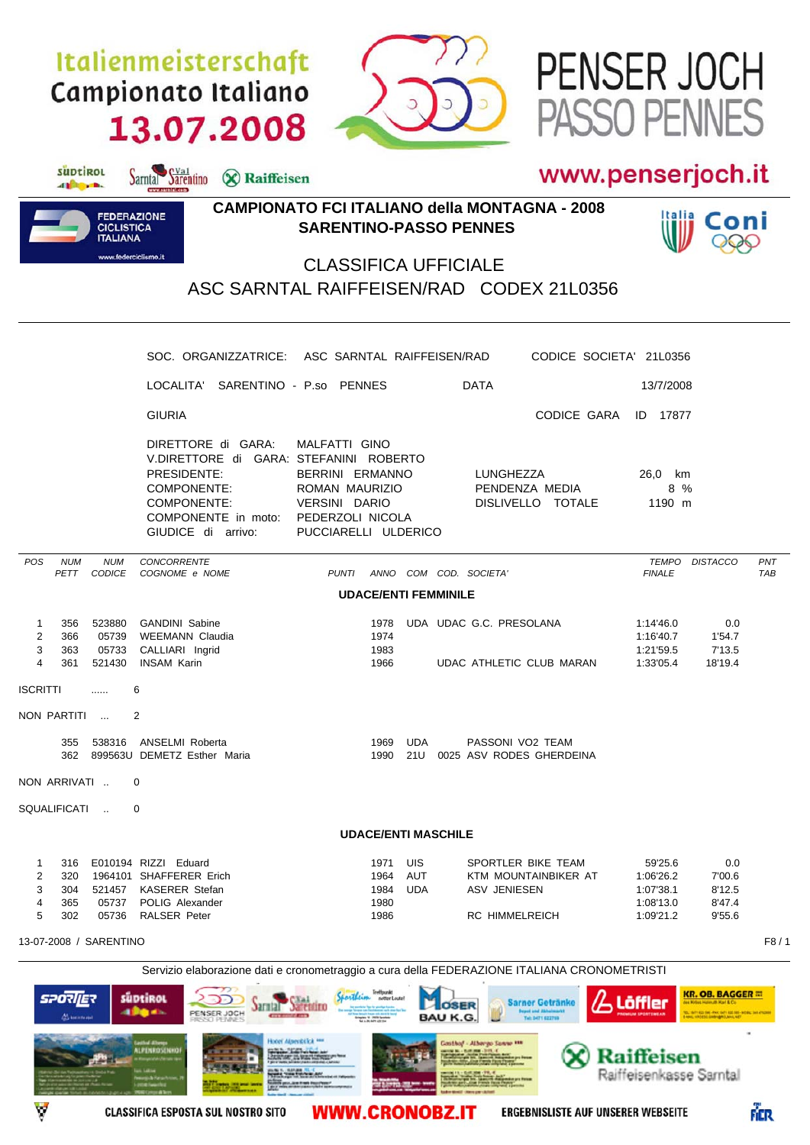# Italienmeisterschaft Campionato Italiano 13.07.2008

Sarntal Sarentino & Raiffeisen



## www.penserjoch.it

PASSO PENNES

PENSER JOCH



suptirol

different.

### **CAMPIONATO FCI ITALIANO della MONTAGNA - 2008 SARENTINO-PASSO PENNES**



### **CLASSIFICA UFFICIALE** ASC SARNTAL RAIFFEISEN/RAD CODEX 21L0356

|                             |                                    |                                    | SOC. ORGANIZZATRICE: ASC SARNTAL RAIFFEISEN/RAD                                                                                                        |                                                                                                          |                                                                                                                        |                          | CODICE SOCIETA' 21L0356                                                                                                                                                                                    |                                                             |                                                                                                    |                   |  |
|-----------------------------|------------------------------------|------------------------------------|--------------------------------------------------------------------------------------------------------------------------------------------------------|----------------------------------------------------------------------------------------------------------|------------------------------------------------------------------------------------------------------------------------|--------------------------|------------------------------------------------------------------------------------------------------------------------------------------------------------------------------------------------------------|-------------------------------------------------------------|----------------------------------------------------------------------------------------------------|-------------------|--|
|                             |                                    |                                    | LOCALITA' SARENTINO - P.so PENNES                                                                                                                      |                                                                                                          |                                                                                                                        |                          | <b>DATA</b>                                                                                                                                                                                                | 13/7/2008                                                   |                                                                                                    |                   |  |
|                             |                                    |                                    | <b>GIURIA</b>                                                                                                                                          |                                                                                                          |                                                                                                                        |                          | CODICE GARA                                                                                                                                                                                                | <b>ID</b> 17877                                             |                                                                                                    |                   |  |
|                             |                                    |                                    | DIRETTORE di GARA:<br>V.DIRETTORE di GARA: STEFANINI ROBERTO<br>PRESIDENTE:<br>COMPONENTE:<br>COMPONENTE:<br>COMPONENTE in moto:<br>GIUDICE di arrivo: |                                                                                                          | MALFATTI GINO<br>BERRINI ERMANNO<br>ROMAN MAURIZIO<br><b>VERSINI DARIO</b><br>PEDERZOLI NICOLA<br>PUCCIARELLI ULDERICO |                          | LUNGHEZZA<br>PENDENZA MEDIA<br>DISLIVELLO TOTALE                                                                                                                                                           | 26,0 km<br>8 %<br>1190 m                                    |                                                                                                    |                   |  |
| <b>POS</b>                  | <b>NUM</b><br>PETT                 | <b>NUM</b><br><b>CODICE</b>        | <b>CONCORRENTE</b><br>COGNOME e NOME                                                                                                                   |                                                                                                          | PUNTI                                                                                                                  |                          | ANNO COM COD. SOCIETA'                                                                                                                                                                                     | TEMPO<br><b>FINALE</b>                                      | <b>DISTACCO</b>                                                                                    | PNT<br><b>TAB</b> |  |
|                             |                                    |                                    |                                                                                                                                                        |                                                                                                          | <b>UDACE/ENTI FEMMINILE</b>                                                                                            |                          |                                                                                                                                                                                                            |                                                             |                                                                                                    |                   |  |
| $\mathbf{1}$<br>2<br>3<br>4 | 356<br>366<br>363<br>361           | 523880<br>05739<br>05733<br>521430 | <b>GANDINI Sabine</b><br><b>WEEMANN Claudia</b><br>CALLIARI Ingrid<br><b>INSAM Karin</b>                                                               |                                                                                                          | 1978<br>1974<br>1983<br>1966                                                                                           |                          | UDA UDAC G.C. PRESOLANA<br>UDAC ATHLETIC CLUB MARAN                                                                                                                                                        | 1:14'46.0<br>1:16'40.7<br>1:21'59.5<br>1:33'05.4            | 0.0<br>1'54.7<br>7'13.5<br>18'19.4                                                                 |                   |  |
| <b>ISCRITTI</b>             |                                    | .                                  | 6                                                                                                                                                      |                                                                                                          |                                                                                                                        |                          |                                                                                                                                                                                                            |                                                             |                                                                                                    |                   |  |
|                             | NON PARTITI                        |                                    | 2                                                                                                                                                      |                                                                                                          |                                                                                                                        |                          |                                                                                                                                                                                                            |                                                             |                                                                                                    |                   |  |
|                             | 355                                |                                    | 538316 ANSELMI Roberta<br>362 899563U DEMETZ Esther Maria                                                                                              |                                                                                                          | 1969<br>1990                                                                                                           | <b>UDA</b><br>21U        | PASSONI VO2 TEAM<br>0025 ASV RODES GHERDEINA                                                                                                                                                               |                                                             |                                                                                                    |                   |  |
|                             | NON ARRIVATI                       |                                    | 0                                                                                                                                                      |                                                                                                          |                                                                                                                        |                          |                                                                                                                                                                                                            |                                                             |                                                                                                    |                   |  |
|                             | SQUALIFICATI                       |                                    | $\Omega$                                                                                                                                               |                                                                                                          |                                                                                                                        |                          |                                                                                                                                                                                                            |                                                             |                                                                                                    |                   |  |
| <b>UDACE/ENTI MASCHILE</b>  |                                    |                                    |                                                                                                                                                        |                                                                                                          |                                                                                                                        |                          |                                                                                                                                                                                                            |                                                             |                                                                                                    |                   |  |
| 1<br>2<br>3<br>4<br>5       | 316<br>320<br>304<br>365<br>302    | 521457<br>05737<br>05736           | E010194 RIZZI Eduard<br>1964101 SHAFFERER Erich<br><b>KASERER Stefan</b><br>POLIG Alexander<br><b>RALSER Peter</b>                                     |                                                                                                          | 1971<br>1964<br>1984<br>1980<br>1986                                                                                   | UIS<br>AUT<br><b>UDA</b> | SPORTLER BIKE TEAM<br>KTM MOUNTAINBIKER AT<br><b>ASV JENIESEN</b><br><b>RC HIMMELREICH</b>                                                                                                                 | 59'25.6<br>1:06'26.2<br>1:07'38.1<br>1:08'13.0<br>1:09'21.2 | 0.0<br>7'00.6<br>8'12.5<br>8'47.4<br>9'55.6                                                        |                   |  |
|                             |                                    | 13-07-2008 / SARENTINO             |                                                                                                                                                        |                                                                                                          |                                                                                                                        |                          |                                                                                                                                                                                                            |                                                             |                                                                                                    | F8/1              |  |
|                             | <b>SPORIER</b><br><b>Alexandri</b> |                                    | süptikol<br>alla de<br>PENSER JOCH<br>PRSSO PENNES<br>echol Alterge<br><b>ALPENROSENHOF</b><br><b>Barnet Ave. 10</b>                                   | <b>Jarnial Jarentro</b><br><b>COLUMN CONTROL</b><br><b>Hoor Alpenblick HH</b><br><b>Bally Mary Color</b> | Treffpunk<br>netter Loute!<br>Graydes 18 - 2020 Scotland<br>NJ - 2010 SAT 622 234                                      |                          | Servizio elaborazione dati e cronometraggio a cura della FEDERAZIONE ITALIANA CRONOMETRISTI<br><b>Sarner Getränke</b><br><b>BOSER</b><br><b>BAU K.G</b><br>Tel: 0471 622769<br>Gosthof - Albergo Sanne *** | Löffler<br>$\chi$ ) Raiffeisen                              | <b>KR. OB. BAGGER III</b><br>des Kobss Hallmuth Karl & Co-<br>.<br>Inc. 492/2013 SHEMBERG MALL NET |                   |  |





**Sunday Property** 

**WWW.CRONOBZ.IT**